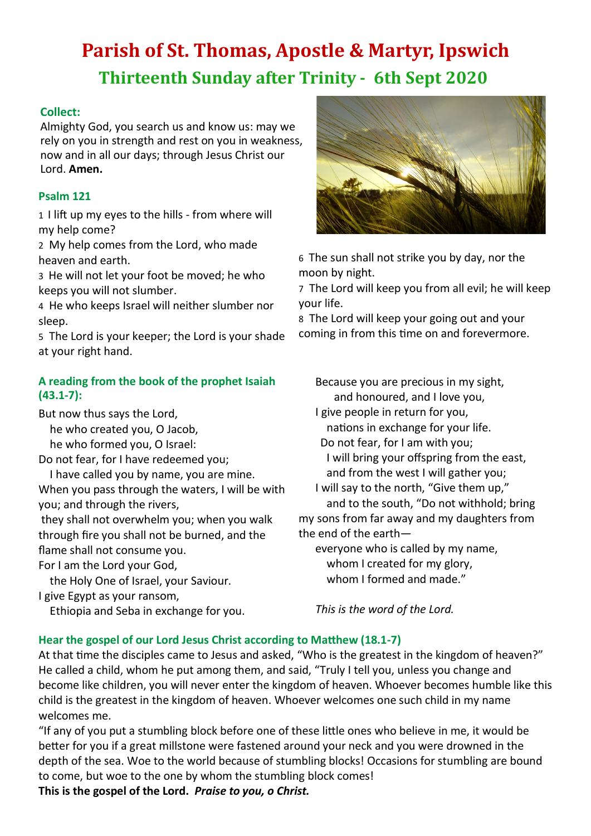# **Parish of St. Thomas, Apostle & Martyr, Ipswich Thirteenth Sunday after Trinity - 6th Sept 2020**

## **Collect:**

Almighty God, you search us and know us: may we rely on you in strength and rest on you in weakness, now and in all our days; through Jesus Christ our Lord. **Amen.**

#### **Psalm 121**

1 I lift up my eyes to the hills - from where will my help come?

2 My help comes from the Lord, who made heaven and earth.

3 He will not let your foot be moved; he who keeps you will not slumber.

4 He who keeps Israel will neither slumber nor sleep.

5 The Lord is your keeper; the Lord is your shade at your right hand.

## **A reading from the book of the prophet Isaiah (43.1-7):**

But now thus says the Lord,

 he who created you, O Jacob, he who formed you, O Israel:

Do not fear, for I have redeemed you;

 I have called you by name, you are mine. When you pass through the waters, I will be with you; and through the rivers,

they shall not overwhelm you; when you walk through fire you shall not be burned, and the

flame shall not consume you.

For I am the Lord your God,

the Holy One of Israel, your Saviour.

I give Egypt as your ransom,

Ethiopia and Seba in exchange for you.



6 The sun shall not strike you by day, nor the moon by night.

7 The Lord will keep you from all evil; he will keep your life.

8 The Lord will keep your going out and your coming in from this time on and forevermore.

Because you are precious in my sight, and honoured, and I love you, I give people in return for you,

nations in exchange for your life.

Do not fear, for I am with you;

I will bring your offspring from the east,

and from the west I will gather you;

I will say to the north, "Give them up,"

 and to the south, "Do not withhold; bring my sons from far away and my daughters from the end of the earth—

everyone who is called by my name, whom I created for my glory, whom I formed and made."

*This is the word of the Lord.*

## **Hear the gospel of our Lord Jesus Christ according to Matthew (18.1-7)**

At that time the disciples came to Jesus and asked, "Who is the greatest in the kingdom of heaven?" He called a child, whom he put among them, and said, "Truly I tell you, unless you change and become like children, you will never enter the kingdom of heaven. Whoever becomes humble like this child is the greatest in the kingdom of heaven. Whoever welcomes one such child in my name welcomes me.

"If any of you put a stumbling block before one of these little ones who believe in me, it would be better for you if a great millstone were fastened around your neck and you were drowned in the depth of the sea. Woe to the world because of stumbling blocks! Occasions for stumbling are bound to come, but woe to the one by whom the stumbling block comes!

**This is the gospel of the Lord.** *Praise to you, o Christ.*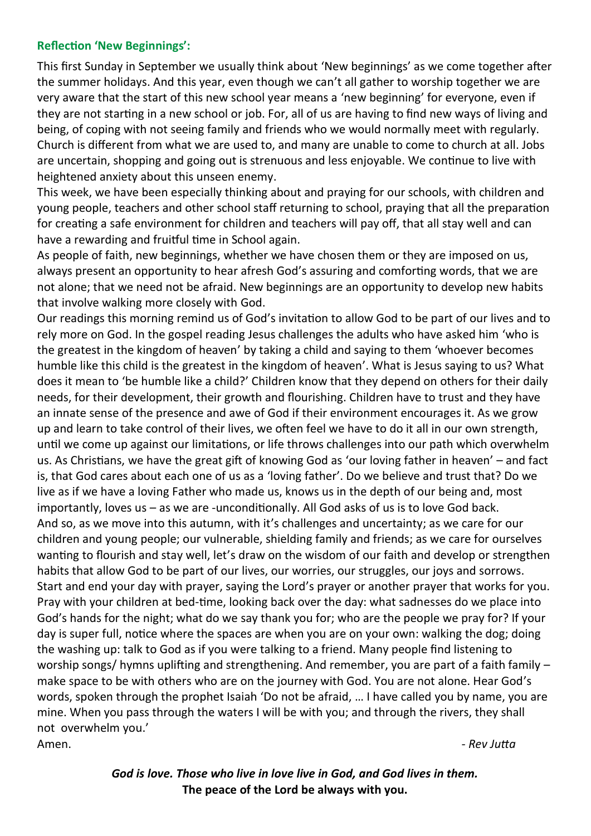## **Reflection 'New Beginnings':**

This first Sunday in September we usually think about 'New beginnings' as we come together after the summer holidays. And this year, even though we can't all gather to worship together we are very aware that the start of this new school year means a 'new beginning' for everyone, even if they are not starting in a new school or job. For, all of us are having to find new ways of living and being, of coping with not seeing family and friends who we would normally meet with regularly. Church is different from what we are used to, and many are unable to come to church at all. Jobs are uncertain, shopping and going out is strenuous and less enjoyable. We continue to live with heightened anxiety about this unseen enemy.

This week, we have been especially thinking about and praying for our schools, with children and young people, teachers and other school staff returning to school, praying that all the preparation for creating a safe environment for children and teachers will pay off, that all stay well and can have a rewarding and fruitful time in School again.

As people of faith, new beginnings, whether we have chosen them or they are imposed on us, always present an opportunity to hear afresh God's assuring and comforting words, that we are not alone; that we need not be afraid. New beginnings are an opportunity to develop new habits that involve walking more closely with God.

Our readings this morning remind us of God's invitation to allow God to be part of our lives and to rely more on God. In the gospel reading Jesus challenges the adults who have asked him 'who is the greatest in the kingdom of heaven' by taking a child and saying to them 'whoever becomes humble like this child is the greatest in the kingdom of heaven'. What is Jesus saying to us? What does it mean to 'be humble like a child?' Children know that they depend on others for their daily needs, for their development, their growth and flourishing. Children have to trust and they have an innate sense of the presence and awe of God if their environment encourages it. As we grow up and learn to take control of their lives, we often feel we have to do it all in our own strength, until we come up against our limitations, or life throws challenges into our path which overwhelm us. As Christians, we have the great gift of knowing God as 'our loving father in heaven' – and fact is, that God cares about each one of us as a 'loving father'. Do we believe and trust that? Do we live as if we have a loving Father who made us, knows us in the depth of our being and, most importantly, loves us – as we are -unconditionally. All God asks of us is to love God back. And so, as we move into this autumn, with it's challenges and uncertainty; as we care for our children and young people; our vulnerable, shielding family and friends; as we care for ourselves wanting to flourish and stay well, let's draw on the wisdom of our faith and develop or strengthen habits that allow God to be part of our lives, our worries, our struggles, our joys and sorrows. Start and end your day with prayer, saying the Lord's prayer or another prayer that works for you. Pray with your children at bed-time, looking back over the day: what sadnesses do we place into God's hands for the night; what do we say thank you for; who are the people we pray for? If your day is super full, notice where the spaces are when you are on your own: walking the dog; doing the washing up: talk to God as if you were talking to a friend. Many people find listening to worship songs/ hymns uplifting and strengthening. And remember, you are part of a faith family – make space to be with others who are on the journey with God. You are not alone. Hear God's words, spoken through the prophet Isaiah 'Do not be afraid, … I have called you by name, you are mine. When you pass through the waters I will be with you; and through the rivers, they shall not overwhelm you.' Amen. *- Rev Jutta*

*God is love. Those who live in love live in God, and God lives in them.*  **The peace of the Lord be always with you.**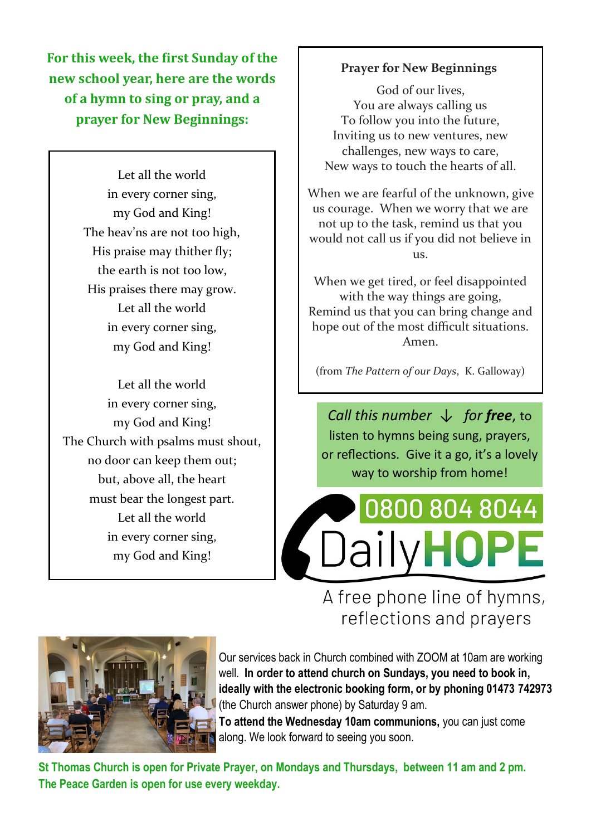**For this week, the first Sunday of the new school year, here are the words of a hymn to sing or pray, and a prayer for New Beginnings:**

> Let all the world in every corner sing, my God and King! The heav'ns are not too high, His praise may thither fly; the earth is not too low, His praises there may grow. Let all the world in every corner sing, my God and King!

Let all the world in every corner sing, my God and King! The Church with psalms must shout, no door can keep them out; but, above all, the heart must bear the longest part. Let all the world in every corner sing, my God and King!

#### **Prayer for New Beginnings**

God of our lives, You are always calling us To follow you into the future, Inviting us to new ventures, new challenges, new ways to care, New ways to touch the hearts of all.

When we are fearful of the unknown, give us courage. When we worry that we are not up to the task, remind us that you would not call us if you did not believe in **11S** 

When we get tired, or feel disappointed with the way things are going, Remind us that you can bring change and hope out of the most difficult situations. Amen.

(from *The Pattern of our Days*, K. Galloway)

*Call this number* ↓ *for free*, to listen to hymns being sung, prayers, or reflections. Give it a go, it's a lovely way to worship from home!



A free phone line of hymns, reflections and prayers



Our services back in Church combined with ZOOM at 10am are working well. **In order to attend church on Sundays, you need to book in, ideally with the electronic booking form, or by phoning 01473 742973**  (the Church answer phone) by Saturday 9 am. **To attend the Wednesday 10am communions,** you can just come

along. We look forward to seeing you soon.

**St Thomas Church is open for Private Prayer, on Mondays and Thursdays, between 11 am and 2 pm. The Peace Garden is open for use every weekday.**